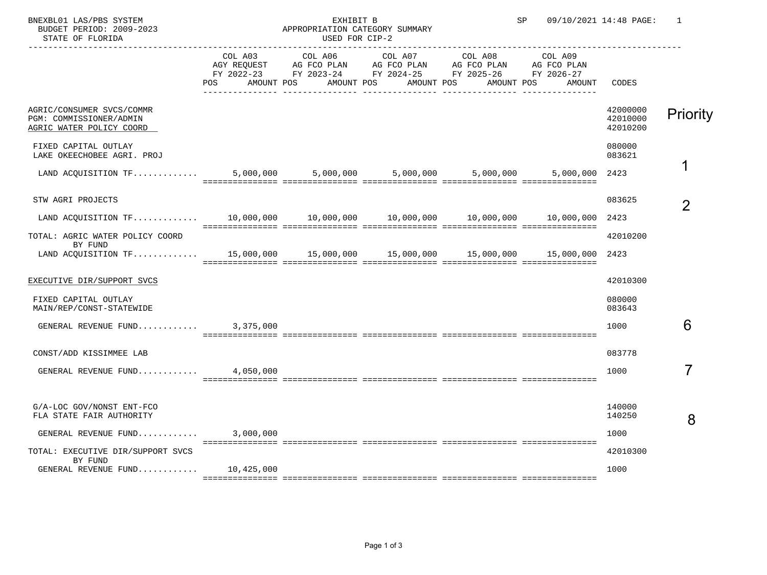| SP |  | 09/10/2021 14:48 PAGE: |  |
|----|--|------------------------|--|
|    |  |                        |  |

 BNEXBL01 LAS/PBS SYSTEM EXHIBIT B SP 09/10/2021 14:48 PAGE: 1 STATE OF FLORIDA

## APPROPRIATION CATEGORY SUMMARY<br>USED FOR CIP-2

|                                                                                                       |     | AGY REQUEST AG FCO PLAN AG FCO PLAN | COL A03 COL A06 COL A07 COL A08 | AG FCO PLAN AG FCO PLAN                                                              | COL A09 |                                  |          |
|-------------------------------------------------------------------------------------------------------|-----|-------------------------------------|---------------------------------|--------------------------------------------------------------------------------------|---------|----------------------------------|----------|
|                                                                                                       | POS | AMOUNT POS AMOUNT POS               | AMOUNT POS                      | FY 2022-23 FY 2023-24 FY 2024-25 FY 2025-26 FY 2026-27<br>AMOUNT POS                 | AMOUNT  | CODES                            |          |
| AGRIC/CONSUMER SVCS/COMMR<br>PGM: COMMISSIONER/ADMIN<br>AGRIC WATER POLICY COORD                      |     |                                     |                                 |                                                                                      |         | 42000000<br>42010000<br>42010200 | Priority |
| FIXED CAPITAL OUTLAY<br>LAKE OKEECHOBEE AGRI. PROJ                                                    |     |                                     |                                 |                                                                                      |         | 080000<br>083621                 |          |
|                                                                                                       |     |                                     |                                 |                                                                                      |         |                                  |          |
| STW AGRI PROJECTS                                                                                     |     |                                     |                                 |                                                                                      |         | 083625                           |          |
| LAND ACQUISITION TF                                                                                   |     |                                     |                                 | $10,000,000$ $10,000,000$ $10,000,000$ $10,000,000$ $10,000,000$ $10,000,000$ $2423$ |         |                                  |          |
| TOTAL: AGRIC WATER POLICY COORD                                                                       |     |                                     |                                 |                                                                                      |         | 42010200                         |          |
| BY FUND<br>LAND ACQUISITION TF 15,000,000 15,000,000 15,000,000 15,000,000 15,000,000 15,000,000 2423 |     |                                     |                                 |                                                                                      |         |                                  |          |
| EXECUTIVE DIR/SUPPORT SVCS                                                                            |     |                                     |                                 |                                                                                      |         | 42010300                         |          |
| FIXED CAPITAL OUTLAY<br>MAIN/REP/CONST-STATEWIDE                                                      |     |                                     |                                 |                                                                                      |         | 080000<br>083643                 |          |
| GENERAL REVENUE FUND 3,375,000                                                                        |     |                                     |                                 |                                                                                      |         | 1000                             | 6        |
| CONST/ADD KISSIMMEE LAB                                                                               |     |                                     |                                 |                                                                                      |         | 083778                           |          |
| GENERAL REVENUE FUND $4,050,000$                                                                      |     |                                     |                                 |                                                                                      |         | 1000                             |          |
|                                                                                                       |     |                                     |                                 |                                                                                      |         |                                  |          |
| G/A-LOC GOV/NONST ENT-FCO<br>FLA STATE FAIR AUTHORITY                                                 |     |                                     |                                 |                                                                                      |         | 140000<br>140250                 | 8        |
| GENERAL REVENUE FUND $3,000,000$                                                                      |     |                                     |                                 |                                                                                      |         | 1000                             |          |
| TOTAL: EXECUTIVE DIR/SUPPORT SVCS<br>BY FUND                                                          |     |                                     |                                 |                                                                                      |         | 42010300                         |          |
| GENERAL REVENUE FUND $10,425,000$                                                                     |     |                                     |                                 |                                                                                      |         | 1000                             |          |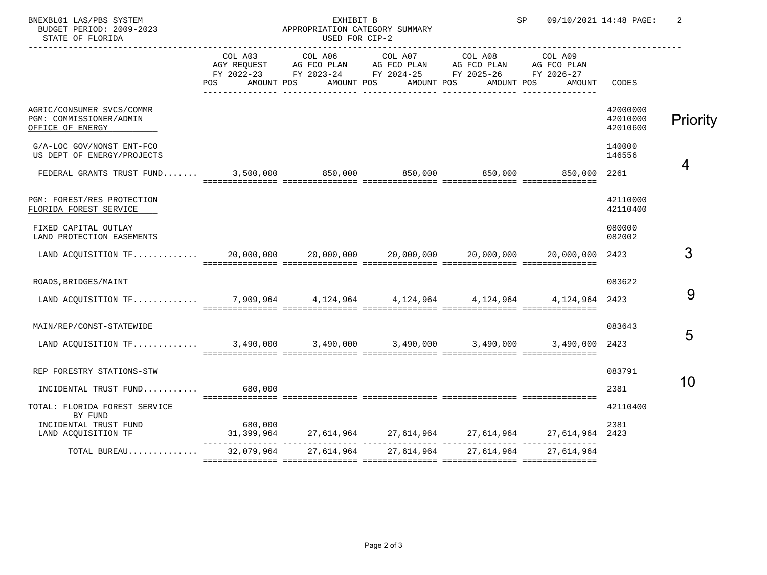BNEXBL01 LAS/PBS SYSTEM EXHIBIT B SP 09/10/2021 14:48 PAGE: 2 STATE OF FLORIDA

## APPROPRIATION CATEGORY SUMMARY<br>USED FOR CIP-2

|                                                                                          | POS     | AMOUNT POS AMOUNT POS AMOUNT POS | COL A03 COL A06 COL A07 COL A08 COL A09<br>AGY REQUEST AG FCO PLAN AG FCO PLAN AG FCO PLAN AG FCO PLAN<br>FY 2022-23 FY 2023-24 FY 2024-25 FY 2025-26 FY 2026-27<br>AMOUNT POS | AMOUNT                                                        | CODES                            |                 |
|------------------------------------------------------------------------------------------|---------|----------------------------------|--------------------------------------------------------------------------------------------------------------------------------------------------------------------------------|---------------------------------------------------------------|----------------------------------|-----------------|
| AGRIC/CONSUMER SVCS/COMMR<br>PGM: COMMISSIONER/ADMIN<br>OFFICE OF ENERGY                 |         |                                  |                                                                                                                                                                                |                                                               | 42000000<br>42010000<br>42010600 | <b>Priority</b> |
| G/A-LOC GOV/NONST ENT-FCO<br>US DEPT OF ENERGY/PROJECTS                                  |         |                                  |                                                                                                                                                                                |                                                               | 140000<br>146556                 |                 |
| FEDERAL GRANTS TRUST FUND 3,500,000 850,000 850,000 850,000 850,000 850,000 850,000 2261 |         |                                  |                                                                                                                                                                                |                                                               |                                  | 4               |
| PGM: FOREST/RES PROTECTION<br>FLORIDA FOREST SERVICE                                     |         |                                  |                                                                                                                                                                                |                                                               | 42110000<br>42110400             |                 |
| FIXED CAPITAL OUTLAY<br>LAND PROTECTION EASEMENTS                                        |         |                                  |                                                                                                                                                                                |                                                               | 080000<br>082002                 |                 |
|                                                                                          |         |                                  |                                                                                                                                                                                |                                                               | 2423                             | 3               |
| ROADS, BRIDGES/MAINT                                                                     |         |                                  |                                                                                                                                                                                |                                                               | 083622                           |                 |
| LAND ACOUISITION TF 7,909,964 4,124,964 4,124,964 4,124,964 4,124,964 4,124,964          |         |                                  |                                                                                                                                                                                |                                                               |                                  | 9               |
| MAIN/REP/CONST-STATEWIDE                                                                 |         |                                  |                                                                                                                                                                                |                                                               | 083643                           | 5               |
| LAND ACQUISITION TF 3,490,000 3,490,000 3,490,000 3,490,000 3,490,000 3,490,000 2423     |         |                                  | soccorrectare concerrectare concerrectare concerrectare concerrectare                                                                                                          |                                                               |                                  |                 |
| REP FORESTRY STATIONS-STW                                                                |         |                                  |                                                                                                                                                                                |                                                               | 083791                           | 10              |
| INCIDENTAL TRUST FUND                                                                    | 680,000 |                                  |                                                                                                                                                                                |                                                               | 2381                             |                 |
| TOTAL: FLORIDA FOREST SERVICE<br>BY FUND                                                 |         |                                  |                                                                                                                                                                                |                                                               | 42110400                         |                 |
| INCIDENTAL TRUST FUND<br>LAND ACQUISITION TF                                             | 680,000 |                                  |                                                                                                                                                                                | $31,399,964$ 27,614,964 27,614,964 27,614,964 27,614,964 2423 | 2381                             |                 |
| TOTAL BUREAU                                                                             |         | 32,079,964 27,614,964 27,614,964 | 27,614,964                                                                                                                                                                     | 27.614.964                                                    |                                  |                 |